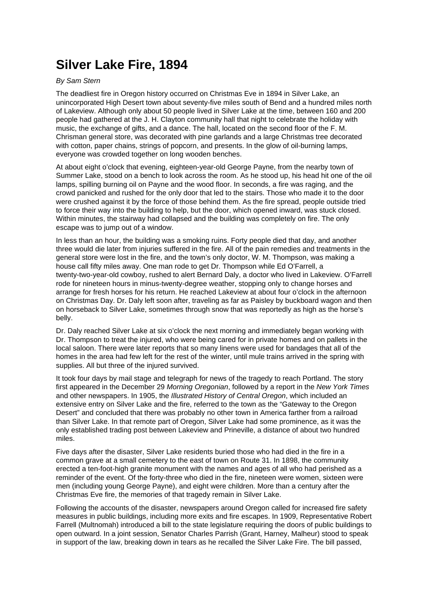## **Silver Lake Fire, 1894**

## By Sam Stern

The deadliest fire in Oregon history occurred on Christmas Eve in 1894 in Silver Lake, an unincorporated High Desert town about seventy-five miles south of Bend and a hundred miles north of Lakeview. Although only about 50 people lived in Silver Lake at the time, between 160 and 200 people had gathered at the J. H. Clayton community hall that night to celebrate the holiday with music, the exchange of gifts, and a dance. The hall, located on the second floor of the F. M. Chrisman general store, was decorated with pine garlands and a large Christmas tree decorated with cotton, paper chains, strings of popcorn, and presents. In the glow of oil-burning lamps, everyone was crowded together on long wooden benches.

At about eight o'clock that evening, eighteen-year-old George Payne, from the nearby town of Summer Lake, stood on a bench to look across the room. As he stood up, his head hit one of the oil lamps, spilling burning oil on Payne and the wood floor. In seconds, a fire was raging, and the crowd panicked and rushed for the only door that led to the stairs. Those who made it to the door were crushed against it by the force of those behind them. As the fire spread, people outside tried to force their way into the building to help, but the door, which opened inward, was stuck closed. Within minutes, the stairway had collapsed and the building was completely on fire. The only escape was to jump out of a window.

In less than an hour, the building was a smoking ruins. Forty people died that day, and another three would die later from injuries suffered in the fire. All of the pain remedies and treatments in the general store were lost in the fire, and the town's only doctor, W. M. Thompson, was making a house call fifty miles away. One man rode to get Dr. Thompson while Ed O'Farrell, a twenty-two-year-old cowboy, rushed to alert Bernard Daly, a doctor who lived in Lakeview. O'Farrell rode for nineteen hours in minus-twenty-degree weather, stopping only to change horses and arrange for fresh horses for his return. He reached Lakeview at about four o'clock in the afternoon on Christmas Day. Dr. Daly left soon after, traveling as far as Paisley by buckboard wagon and then on horseback to Silver Lake, sometimes through snow that was reportedly as high as the horse's belly.

Dr. Daly reached Silver Lake at six o'clock the next morning and immediately began working with Dr. Thompson to treat the injured, who were being cared for in private homes and on pallets in the local saloon. There were later reports that so many linens were used for bandages that all of the homes in the area had few left for the rest of the winter, until mule trains arrived in the spring with supplies. All but three of the injured survived.

It took four days by mail stage and telegraph for news of the tragedy to reach Portland. The story first appeared in the December 29 Morning Oregonian, followed by a report in the New York Times and other newspapers. In 1905, the Illustrated History of Central Oregon, which included an extensive entry on Silver Lake and the fire, referred to the town as the "Gateway to the Oregon Desert" and concluded that there was probably no other town in America farther from a railroad than Silver Lake. In that remote part of Oregon, Silver Lake had some prominence, as it was the only established trading post between Lakeview and Prineville, a distance of about two hundred miles.

Five days after the disaster, Silver Lake residents buried those who had died in the fire in a common grave at a small cemetery to the east of town on Route 31. In 1898, the community erected a ten-foot-high granite monument with the names and ages of all who had perished as a reminder of the event. Of the forty-three who died in the fire, nineteen were women, sixteen were men (including young George Payne), and eight were children. More than a century after the Christmas Eve fire, the memories of that tragedy remain in Silver Lake.

Following the accounts of the disaster, newspapers around Oregon called for increased fire safety measures in public buildings, including more exits and fire escapes. In 1909, Representative Robert Farrell (Multnomah) introduced a bill to the state legislature requiring the doors of public buildings to open outward. In a joint session, Senator Charles Parrish (Grant, Harney, Malheur) stood to speak in support of the law, breaking down in tears as he recalled the Silver Lake Fire. The bill passed,